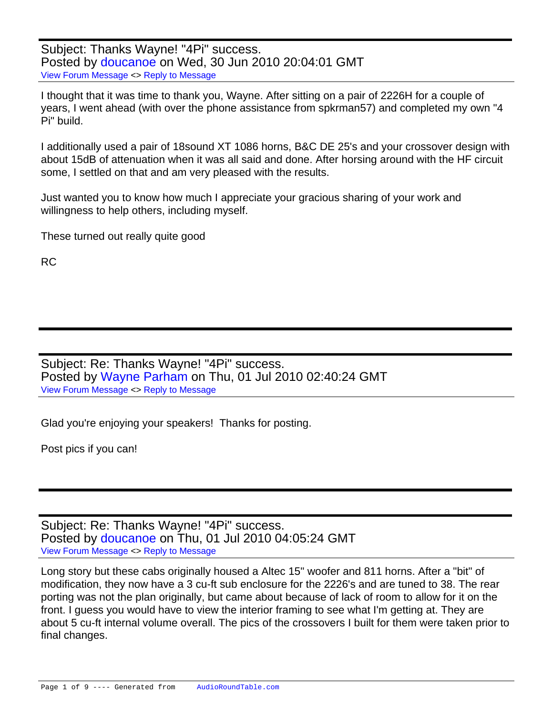Subject: Thanks Wayne! "4Pi" success. Posted by [doucanoe](https://audioroundtable.com/forum/index.php?t=usrinfo&id=244) on Wed, 30 Jun 2010 20:04:01 GMT [View Forum Message](https://audioroundtable.com/forum/index.php?t=rview&th=15149&goto=63286#msg_63286) <> [Reply to Message](https://audioroundtable.com/forum/index.php?t=post&reply_to=63286)

I thought that it was time to thank you, Wayne. After sitting on a pair of 2226H for a couple of years, I went ahead (with over the phone assistance from spkrman57) and completed my own "4 Pi" build.

I additionally used a pair of 18sound XT 1086 horns, B&C DE 25's and your crossover design with about 15dB of attenuation when it was all said and done. After horsing around with the HF circuit some, I settled on that and am very pleased with the results.

Just wanted you to know how much I appreciate your gracious sharing of your work and willingness to help others, including myself.

These turned out really quite good

RC

Subject: Re: Thanks Wayne! "4Pi" success. Posted by [Wayne Parham](https://audioroundtable.com/forum/index.php?t=usrinfo&id=5) on Thu, 01 Jul 2010 02:40:24 GMT [View Forum Message](https://audioroundtable.com/forum/index.php?t=rview&th=15149&goto=63291#msg_63291) <> [Reply to Message](https://audioroundtable.com/forum/index.php?t=post&reply_to=63291)

Glad you're enjoying your speakers! Thanks for posting.

Post pics if you can!

Subject: Re: Thanks Wayne! "4Pi" success. Posted by [doucanoe](https://audioroundtable.com/forum/index.php?t=usrinfo&id=244) on Thu, 01 Jul 2010 04:05:24 GMT [View Forum Message](https://audioroundtable.com/forum/index.php?t=rview&th=15149&goto=63292#msg_63292) <> [Reply to Message](https://audioroundtable.com/forum/index.php?t=post&reply_to=63292)

Long story but these cabs originally housed a Altec 15" woofer and 811 horns. After a "bit" of modification, they now have a 3 cu-ft sub enclosure for the 2226's and are tuned to 38. The rear porting was not the plan originally, but came about because of lack of room to allow for it on the front. I guess you would have to view the interior framing to see what I'm getting at. They are about 5 cu-ft internal volume overall. The pics of the crossovers I built for them were taken prior to final changes.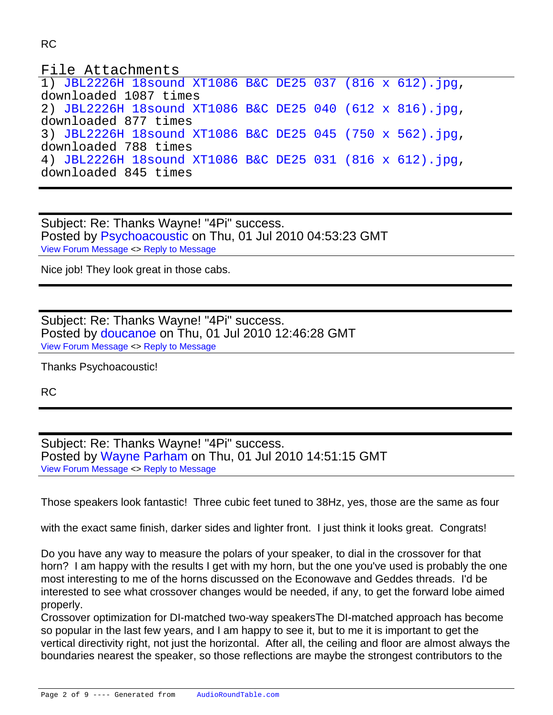## File Attachments

1) [JBL2226H 18sound XT1086 B&C DE25 037 \(816 x 612\).jpg](https://audioroundtable.com/forum/index.php?t=getfile&id=222), downloaded 1087 times 2) [JBL2226H 18sound XT1086 B&C DE25 040 \(612 x 816\).jpg](https://audioroundtable.com/forum/index.php?t=getfile&id=223), downloaded 877 times 3) [JBL2226H 18sound XT1086 B&C DE25 045 \(750 x 562\).jpg](https://audioroundtable.com/forum/index.php?t=getfile&id=224), downloaded 788 times 4) [JBL2226H 18sound XT1086 B&C DE25 031 \(816 x 612\).jpg](https://audioroundtable.com/forum/index.php?t=getfile&id=226), downloaded 845 times

Subject: Re: Thanks Wayne! "4Pi" success. Posted by [Psychoacoustic](https://audioroundtable.com/forum/index.php?t=usrinfo&id=1677) on Thu, 01 Jul 2010 04:53:23 GMT [View Forum Message](https://audioroundtable.com/forum/index.php?t=rview&th=15149&goto=63293#msg_63293) <> [Reply to Message](https://audioroundtable.com/forum/index.php?t=post&reply_to=63293)

Nice job! They look great in those cabs.

Subject: Re: Thanks Wayne! "4Pi" success. Posted by [doucanoe](https://audioroundtable.com/forum/index.php?t=usrinfo&id=244) on Thu, 01 Jul 2010 12:46:28 GMT [View Forum Message](https://audioroundtable.com/forum/index.php?t=rview&th=15149&goto=63295#msg_63295) <> [Reply to Message](https://audioroundtable.com/forum/index.php?t=post&reply_to=63295)

Thanks Psychoacoustic!

RC

Subject: Re: Thanks Wayne! "4Pi" success. Posted by [Wayne Parham](https://audioroundtable.com/forum/index.php?t=usrinfo&id=5) on Thu, 01 Jul 2010 14:51:15 GMT [View Forum Message](https://audioroundtable.com/forum/index.php?t=rview&th=15149&goto=63297#msg_63297) <> [Reply to Message](https://audioroundtable.com/forum/index.php?t=post&reply_to=63297)

Those speakers look fantastic! Three cubic feet tuned to 38Hz, yes, those are the same as four

with the exact same finish, darker sides and lighter front. I just think it looks great. Congrats!

Do you have any way to measure the polars of your speaker, to dial in the crossover for that horn? I am happy with the results I get with my horn, but the one you've used is probably the one most interesting to me of the horns discussed on the Econowave and Geddes threads. I'd be interested to see what crossover changes would be needed, if any, to get the forward lobe aimed properly.

Crossover optimization for DI-matched two-way speakersThe DI-matched approach has become so popular in the last few years, and I am happy to see it, but to me it is important to get the vertical directivity right, not just the horizontal. After all, the ceiling and floor are almost always the boundaries nearest the speaker, so those reflections are maybe the strongest contributors to the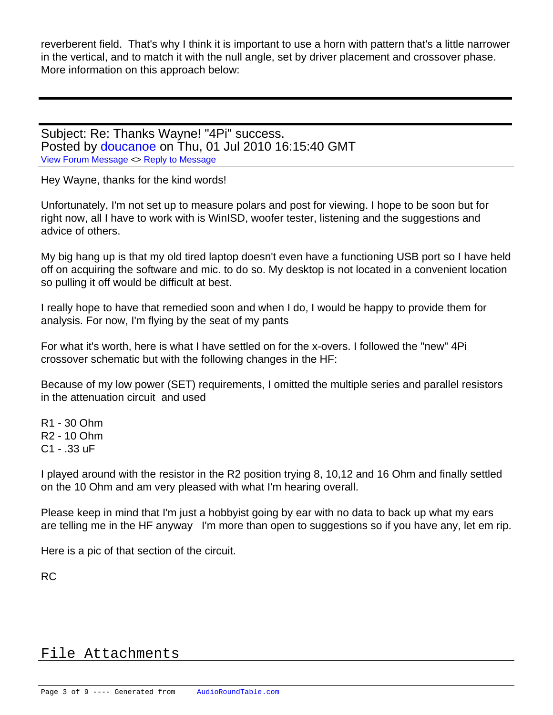reverberent field. That's why I think it is important to use a horn with pattern that's a little narrower in the vertical, and to match it with the null angle, set by driver placement and crossover phase. More information on this approach below:

Subject: Re: Thanks Wayne! "4Pi" success. Posted by [doucanoe](https://audioroundtable.com/forum/index.php?t=usrinfo&id=244) on Thu, 01 Jul 2010 16:15:40 GMT [View Forum Message](https://audioroundtable.com/forum/index.php?t=rview&th=15149&goto=63298#msg_63298) <> [Reply to Message](https://audioroundtable.com/forum/index.php?t=post&reply_to=63298)

Hey Wayne, thanks for the kind words!

Unfortunately, I'm not set up to measure polars and post for viewing. I hope to be soon but for right now, all I have to work with is WinISD, woofer tester, listening and the suggestions and advice of others.

My big hang up is that my old tired laptop doesn't even have a functioning USB port so I have held off on acquiring the software and mic. to do so. My desktop is not located in a convenient location so pulling it off would be difficult at best.

I really hope to have that remedied soon and when I do, I would be happy to provide them for analysis. For now, I'm flying by the seat of my pants

For what it's worth, here is what I have settled on for the x-overs. I followed the "new" 4Pi crossover schematic but with the following changes in the HF:

Because of my low power (SET) requirements, I omitted the multiple series and parallel resistors in the attenuation circuit and used

R1 - 30 Ohm

R2 - 10 Ohm

C1 - .33 uF

I played around with the resistor in the R2 position trying 8, 10,12 and 16 Ohm and finally settled on the 10 Ohm and am very pleased with what I'm hearing overall.

Please keep in mind that I'm just a hobbyist going by ear with no data to back up what my ears are telling me in the HF anyway I'm more than open to suggestions so if you have any, let em rip.

Here is a pic of that section of the circuit.

RC

## File Attachments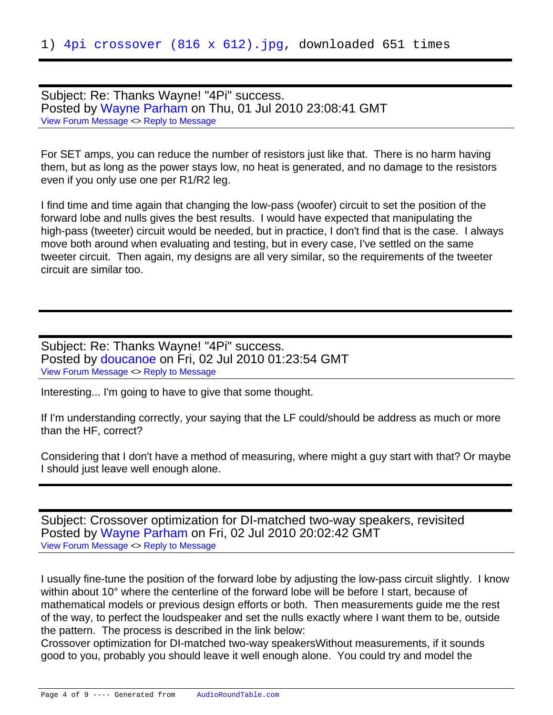Subject: Re: Thanks Wayne! "4Pi" success. Posted by [Wayne Parham](https://audioroundtable.com/forum/index.php?t=usrinfo&id=5) on Thu, 01 Jul 2010 23:08:41 GMT [View Forum Message](https://audioroundtable.com/forum/index.php?t=rview&th=15149&goto=63302#msg_63302) <> [Reply to Message](https://audioroundtable.com/forum/index.php?t=post&reply_to=63302)

For SET amps, you can reduce the number of resistors just like that. There is no harm having them, but as long as the power stays low, no heat is generated, and no damage to the resistors even if you only use one per R1/R2 leg.

I find time and time again that changing the low-pass (woofer) circuit to set the position of the forward lobe and nulls gives the best results. I would have expected that manipulating the high-pass (tweeter) circuit would be needed, but in practice, I don't find that is the case. I always move both around when evaluating and testing, but in every case, I've settled on the same tweeter circuit. Then again, my designs are all very similar, so the requirements of the tweeter circuit are similar too.

Subject: Re: Thanks Wayne! "4Pi" success. Posted by [doucanoe](https://audioroundtable.com/forum/index.php?t=usrinfo&id=244) on Fri, 02 Jul 2010 01:23:54 GMT [View Forum Message](https://audioroundtable.com/forum/index.php?t=rview&th=15149&goto=63304#msg_63304) <> [Reply to Message](https://audioroundtable.com/forum/index.php?t=post&reply_to=63304)

Interesting... I'm going to have to give that some thought.

If I'm understanding correctly, your saying that the LF could/should be address as much or more than the HF, correct?

Considering that I don't have a method of measuring, where might a guy start with that? Or maybe I should just leave well enough alone.

Subject: Crossover optimization for DI-matched two-way speakers, revisited Posted by [Wayne Parham](https://audioroundtable.com/forum/index.php?t=usrinfo&id=5) on Fri, 02 Jul 2010 20:02:42 GMT [View Forum Message](https://audioroundtable.com/forum/index.php?t=rview&th=15149&goto=63306#msg_63306) <> [Reply to Message](https://audioroundtable.com/forum/index.php?t=post&reply_to=63306)

I usually fine-tune the position of the forward lobe by adjusting the low-pass circuit slightly. I know within about 10° where the centerline of the forward lobe will be before I start, because of mathematical models or previous design efforts or both. Then measurements guide me the rest of the way, to perfect the loudspeaker and set the nulls exactly where I want them to be, outside the pattern. The process is described in the link below:

Crossover optimization for DI-matched two-way speakersWithout measurements, if it sounds good to you, probably you should leave it well enough alone. You could try and model the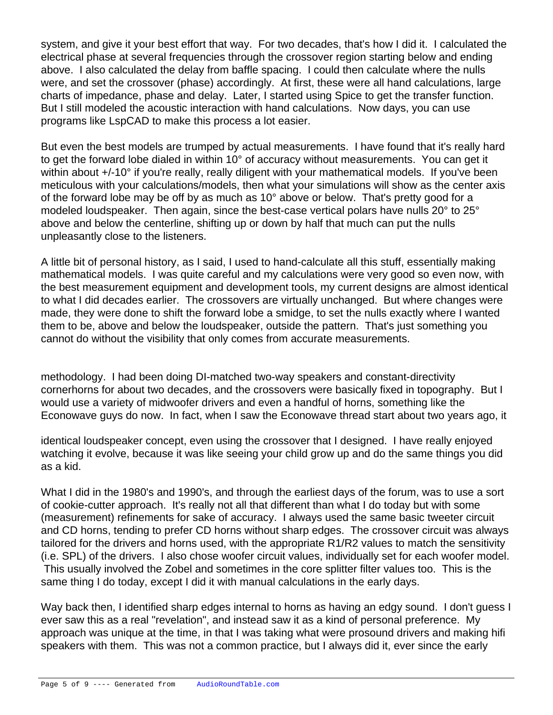system, and give it your best effort that way. For two decades, that's how I did it. I calculated the electrical phase at several frequencies through the crossover region starting below and ending above. I also calculated the delay from baffle spacing. I could then calculate where the nulls were, and set the crossover (phase) accordingly. At first, these were all hand calculations, large charts of impedance, phase and delay. Later, I started using Spice to get the transfer function. But I still modeled the acoustic interaction with hand calculations. Now days, you can use programs like LspCAD to make this process a lot easier.

But even the best models are trumped by actual measurements. I have found that it's really hard to get the forward lobe dialed in within 10° of accuracy without measurements. You can get it within about +/-10° if you're really, really diligent with your mathematical models. If you've been meticulous with your calculations/models, then what your simulations will show as the center axis of the forward lobe may be off by as much as 10° above or below. That's pretty good for a modeled loudspeaker. Then again, since the best-case vertical polars have nulls 20° to 25° above and below the centerline, shifting up or down by half that much can put the nulls unpleasantly close to the listeners.

A little bit of personal history, as I said, I used to hand-calculate all this stuff, essentially making mathematical models. I was quite careful and my calculations were very good so even now, with the best measurement equipment and development tools, my current designs are almost identical to what I did decades earlier. The crossovers are virtually unchanged. But where changes were made, they were done to shift the forward lobe a smidge, to set the nulls exactly where I wanted them to be, above and below the loudspeaker, outside the pattern. That's just something you cannot do without the visibility that only comes from accurate measurements.

methodology. I had been doing DI-matched two-way speakers and constant-directivity cornerhorns for about two decades, and the crossovers were basically fixed in topography. But I would use a variety of midwoofer drivers and even a handful of horns, something like the Econowave guys do now. In fact, when I saw the Econowave thread start about two years ago, it

identical loudspeaker concept, even using the crossover that I designed. I have really enjoyed watching it evolve, because it was like seeing your child grow up and do the same things you did as a kid.

What I did in the 1980's and 1990's, and through the earliest days of the forum, was to use a sort of cookie-cutter approach. It's really not all that different than what I do today but with some (measurement) refinements for sake of accuracy. I always used the same basic tweeter circuit and CD horns, tending to prefer CD horns without sharp edges. The crossover circuit was always tailored for the drivers and horns used, with the appropriate R1/R2 values to match the sensitivity (i.e. SPL) of the drivers. I also chose woofer circuit values, individually set for each woofer model. This usually involved the Zobel and sometimes in the core splitter filter values too. This is the same thing I do today, except I did it with manual calculations in the early days.

Way back then, I identified sharp edges internal to horns as having an edgy sound. I don't guess I ever saw this as a real "revelation", and instead saw it as a kind of personal preference. My approach was unique at the time, in that I was taking what were prosound drivers and making hifi speakers with them. This was not a common practice, but I always did it, ever since the early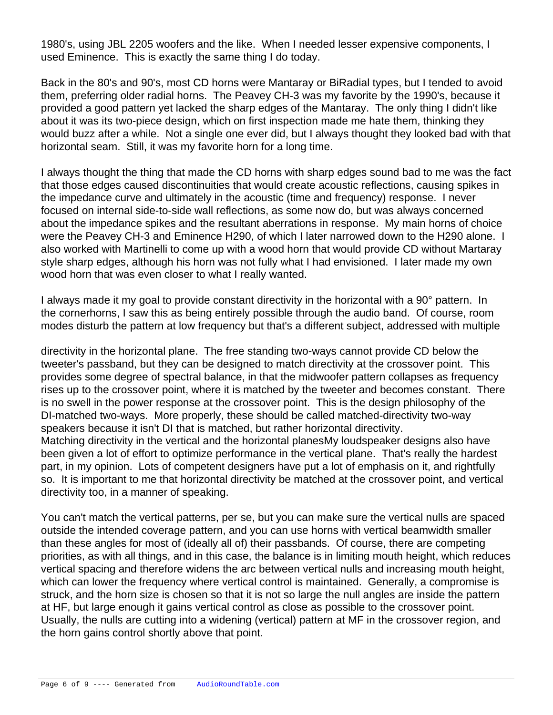1980's, using JBL 2205 woofers and the like. When I needed lesser expensive components, I used Eminence. This is exactly the same thing I do today.

Back in the 80's and 90's, most CD horns were Mantaray or BiRadial types, but I tended to avoid them, preferring older radial horns. The Peavey CH-3 was my favorite by the 1990's, because it provided a good pattern yet lacked the sharp edges of the Mantaray. The only thing I didn't like about it was its two-piece design, which on first inspection made me hate them, thinking they would buzz after a while. Not a single one ever did, but I always thought they looked bad with that horizontal seam. Still, it was my favorite horn for a long time.

I always thought the thing that made the CD horns with sharp edges sound bad to me was the fact that those edges caused discontinuities that would create acoustic reflections, causing spikes in the impedance curve and ultimately in the acoustic (time and frequency) response. I never focused on internal side-to-side wall reflections, as some now do, but was always concerned about the impedance spikes and the resultant aberrations in response. My main horns of choice were the Peavey CH-3 and Eminence H290, of which I later narrowed down to the H290 alone. I also worked with Martinelli to come up with a wood horn that would provide CD without Martaray style sharp edges, although his horn was not fully what I had envisioned. I later made my own wood horn that was even closer to what I really wanted.

I always made it my goal to provide constant directivity in the horizontal with a 90° pattern. In the cornerhorns, I saw this as being entirely possible through the audio band. Of course, room modes disturb the pattern at low frequency but that's a different subject, addressed with multiple

directivity in the horizontal plane. The free standing two-ways cannot provide CD below the tweeter's passband, but they can be designed to match directivity at the crossover point. This provides some degree of spectral balance, in that the midwoofer pattern collapses as frequency rises up to the crossover point, where it is matched by the tweeter and becomes constant. There is no swell in the power response at the crossover point. This is the design philosophy of the DI-matched two-ways. More properly, these should be called matched-directivity two-way speakers because it isn't DI that is matched, but rather horizontal directivity. Matching directivity in the vertical and the horizontal planesMy loudspeaker designs also have been given a lot of effort to optimize performance in the vertical plane. That's really the hardest

part, in my opinion. Lots of competent designers have put a lot of emphasis on it, and rightfully so. It is important to me that horizontal directivity be matched at the crossover point, and vertical directivity too, in a manner of speaking.

You can't match the vertical patterns, per se, but you can make sure the vertical nulls are spaced outside the intended coverage pattern, and you can use horns with vertical beamwidth smaller than these angles for most of (ideally all of) their passbands. Of course, there are competing priorities, as with all things, and in this case, the balance is in limiting mouth height, which reduces vertical spacing and therefore widens the arc between vertical nulls and increasing mouth height, which can lower the frequency where vertical control is maintained. Generally, a compromise is struck, and the horn size is chosen so that it is not so large the null angles are inside the pattern at HF, but large enough it gains vertical control as close as possible to the crossover point. Usually, the nulls are cutting into a widening (vertical) pattern at MF in the crossover region, and the horn gains control shortly above that point.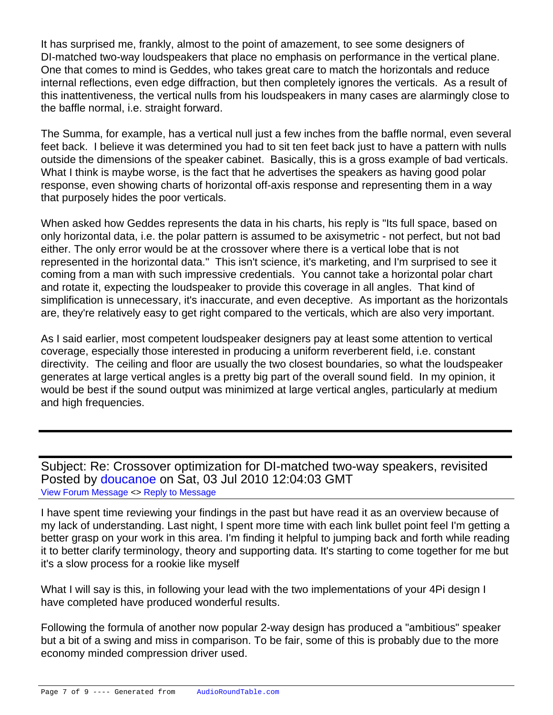It has surprised me, frankly, almost to the point of amazement, to see some designers of DI-matched two-way loudspeakers that place no emphasis on performance in the vertical plane. One that comes to mind is Geddes, who takes great care to match the horizontals and reduce internal reflections, even edge diffraction, but then completely ignores the verticals. As a result of this inattentiveness, the vertical nulls from his loudspeakers in many cases are alarmingly close to the baffle normal, i.e. straight forward.

The Summa, for example, has a vertical null just a few inches from the baffle normal, even several feet back. I believe it was determined you had to sit ten feet back just to have a pattern with nulls outside the dimensions of the speaker cabinet. Basically, this is a gross example of bad verticals. What I think is maybe worse, is the fact that he advertises the speakers as having good polar response, even showing charts of horizontal off-axis response and representing them in a way that purposely hides the poor verticals.

When asked how Geddes represents the data in his charts, his reply is "Its full space, based on only horizontal data, i.e. the polar pattern is assumed to be axisymetric - not perfect, but not bad either. The only error would be at the crossover where there is a vertical lobe that is not represented in the horizontal data." This isn't science, it's marketing, and I'm surprised to see it coming from a man with such impressive credentials. You cannot take a horizontal polar chart and rotate it, expecting the loudspeaker to provide this coverage in all angles. That kind of simplification is unnecessary, it's inaccurate, and even deceptive. As important as the horizontals are, they're relatively easy to get right compared to the verticals, which are also very important.

As I said earlier, most competent loudspeaker designers pay at least some attention to vertical coverage, especially those interested in producing a uniform reverberent field, i.e. constant directivity. The ceiling and floor are usually the two closest boundaries, so what the loudspeaker generates at large vertical angles is a pretty big part of the overall sound field. In my opinion, it would be best if the sound output was minimized at large vertical angles, particularly at medium and high frequencies.

Subject: Re: Crossover optimization for DI-matched two-way speakers, revisited Posted by [doucanoe](https://audioroundtable.com/forum/index.php?t=usrinfo&id=244) on Sat, 03 Jul 2010 12:04:03 GMT [View Forum Message](https://audioroundtable.com/forum/index.php?t=rview&th=15149&goto=63308#msg_63308) <> [Reply to Message](https://audioroundtable.com/forum/index.php?t=post&reply_to=63308)

I have spent time reviewing your findings in the past but have read it as an overview because of my lack of understanding. Last night, I spent more time with each link bullet point feel I'm getting a better grasp on your work in this area. I'm finding it helpful to jumping back and forth while reading it to better clarify terminology, theory and supporting data. It's starting to come together for me but it's a slow process for a rookie like myself

What I will say is this, in following your lead with the two implementations of your 4Pi design I have completed have produced wonderful results.

Following the formula of another now popular 2-way design has produced a "ambitious" speaker but a bit of a swing and miss in comparison. To be fair, some of this is probably due to the more economy minded compression driver used.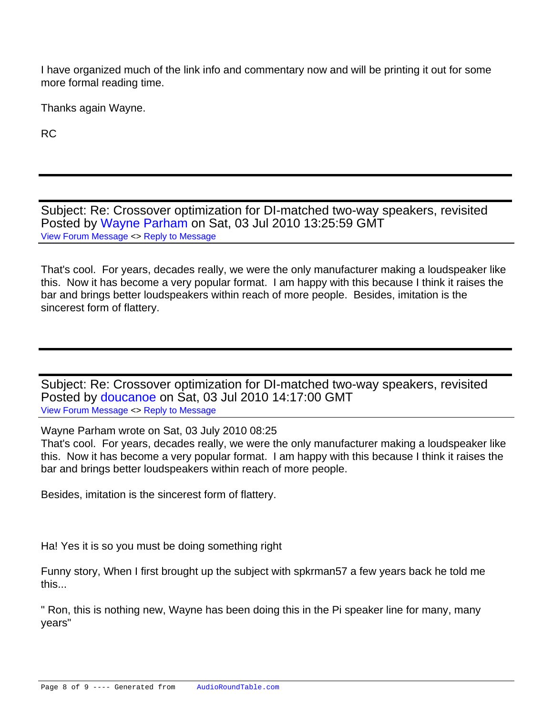I have organized much of the link info and commentary now and will be printing it out for some more formal reading time.

Thanks again Wayne.

RC

Subject: Re: Crossover optimization for DI-matched two-way speakers, revisited Posted by [Wayne Parham](https://audioroundtable.com/forum/index.php?t=usrinfo&id=5) on Sat, 03 Jul 2010 13:25:59 GMT [View Forum Message](https://audioroundtable.com/forum/index.php?t=rview&th=15149&goto=63309#msg_63309) <> [Reply to Message](https://audioroundtable.com/forum/index.php?t=post&reply_to=63309)

That's cool. For years, decades really, we were the only manufacturer making a loudspeaker like this. Now it has become a very popular format. I am happy with this because I think it raises the bar and brings better loudspeakers within reach of more people. Besides, imitation is the sincerest form of flattery.

Subject: Re: Crossover optimization for DI-matched two-way speakers, revisited Posted by [doucanoe](https://audioroundtable.com/forum/index.php?t=usrinfo&id=244) on Sat, 03 Jul 2010 14:17:00 GMT [View Forum Message](https://audioroundtable.com/forum/index.php?t=rview&th=15149&goto=63310#msg_63310) <> [Reply to Message](https://audioroundtable.com/forum/index.php?t=post&reply_to=63310)

Wayne Parham wrote on Sat, 03 July 2010 08:25

That's cool. For years, decades really, we were the only manufacturer making a loudspeaker like this. Now it has become a very popular format. I am happy with this because I think it raises the bar and brings better loudspeakers within reach of more people.

Besides, imitation is the sincerest form of flattery.

Ha! Yes it is so you must be doing something right

Funny story, When I first brought up the subject with spkrman57 a few years back he told me this...

" Ron, this is nothing new, Wayne has been doing this in the Pi speaker line for many, many years"